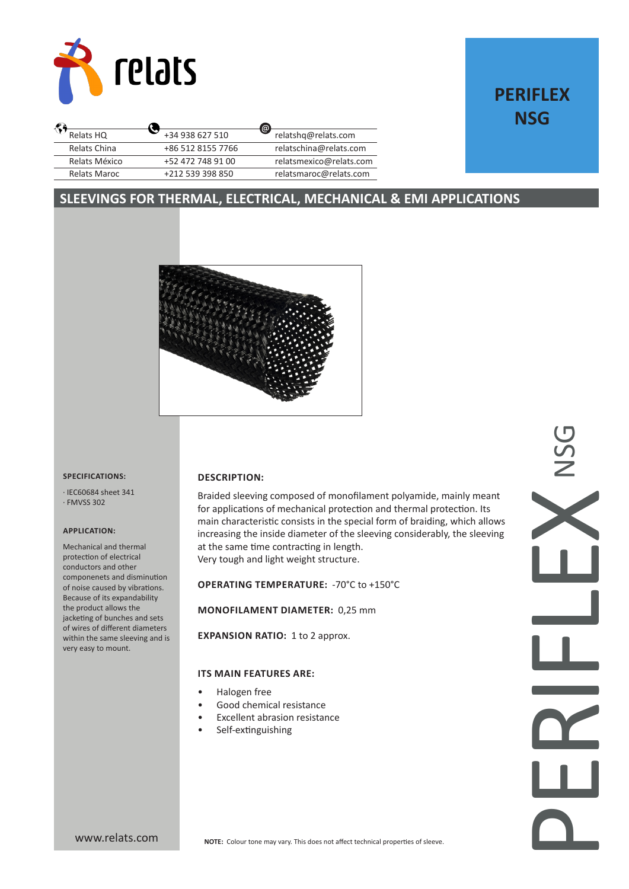

# **PERIFLEX NSG**

|                   | $\circledcirc$          |
|-------------------|-------------------------|
| +34 938 627 510   | relatshq@relats.com     |
| +86 512 8155 7766 | relatschina@relats.com  |
| +52 472 748 91 00 | relatsmexico@relats.com |
| +212 539 398 850  | relatsmaroc@relats.com  |
|                   |                         |

# **SLEEVINGS FOR THERMAL, ELECTRICAL, MECHANICAL & EMI APPLICATIONS**



#### **SPECIFICATIONS:**

· IEC60684 sheet 341 · FMVSS 302

### **APPLICATION:**

Mechanical and thermal protection of electrical conductors and other componenets and disminution of noise caused by vibrations. Because of its expandability the product allows the jacketing of bunches and sets of wires of different diameters within the same sleeving and is very easy to mount.

### **DESCRIPTION:**

Braided sleeving composed of monofilament polyamide, mainly meant for applications of mechanical protection and thermal protection. Its main characteristic consists in the special form of braiding, which allows increasing the inside diameter of the sleeving considerably, the sleeving at the same time contracting in length. Very tough and light weight structure.

# **OPERATING TEMPERATURE:** -70°C to +150°C

## **MONOFILAMENT DIAMETER:** 0,25 mm

**EXPANSION RATIO: 1 to 2 approx.** 

### **ITS MAIN FEATURES ARE:**

- Halogen free
- Good chemical resistance
- **Excellent abrasion resistance**
- Self-extinguishing

PERIFLEX NSG